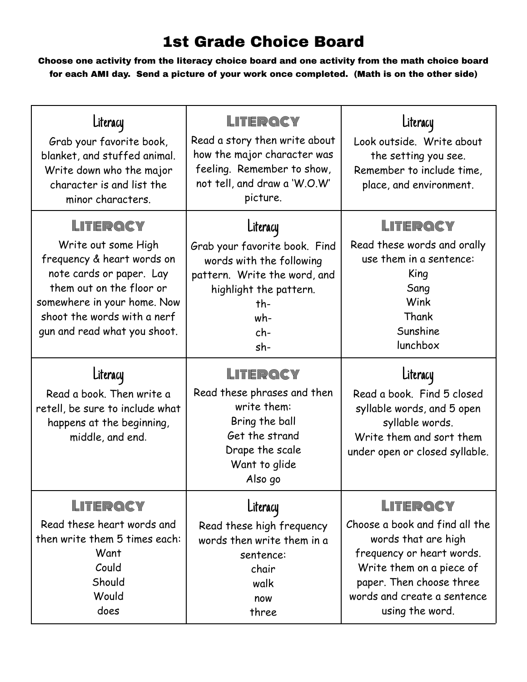## 1st Grade Choice Board

Choose one activity from the literacy choice board and one activity from the math choice board for each AMI day. Send a picture of your work once completed. (Math is on the other side)

| Literacy<br>Grab your favorite book,<br>blanket, and stuffed animal.<br>Write down who the major<br>character is and list the<br>minor characters.                                                                              | LITERQCY<br>Read a story then write about<br>how the major character was<br>feeling. Remember to show,<br>not tell, and draw a 'W.O.W'<br>picture.                        | Literacy<br>Look outside. Write about<br>the setting you see.<br>Remember to include time,<br>place, and environment.                     |
|---------------------------------------------------------------------------------------------------------------------------------------------------------------------------------------------------------------------------------|---------------------------------------------------------------------------------------------------------------------------------------------------------------------------|-------------------------------------------------------------------------------------------------------------------------------------------|
| LITERQCY<br>Write out some High<br>frequency & heart words on<br>note cards or paper. Lay<br>them out on the floor or<br>somewhere in your home. Now<br>shoot the words with a nerf<br>gun and read what you shoot.<br>Literacy | Literacy<br>Grab your favorite book. Find<br>words with the following<br>pattern. Write the word, and<br>highlight the pattern.<br>th-<br>wh-<br>$ch-$<br>sh-<br>LITERQCY | LITERQCY<br>Read these words and orally<br>use them in a sentence:<br>King<br>Sang<br>Wink<br>Thank<br>Sunshine<br>lunchbox<br>Literacy   |
| Read a book. Then write a<br>retell, be sure to include what<br>happens at the beginning,<br>middle, and end.                                                                                                                   | Read these phrases and then<br>write them:<br>Bring the ball<br>Get the strand<br>Drape the scale<br>Want to glide<br>Also go                                             | Read a book. Find 5 closed<br>syllable words, and 5 open<br>syllable words.<br>Write them and sort them<br>under open or closed syllable. |
| LITERQCY<br>Read these heart words and<br>then write them 5 times each:<br>Want<br>Could                                                                                                                                        | Literacy<br>Read these high frequency<br>words then write them in a<br>sentence:<br>chair                                                                                 | LITERQCY<br>Choose a book and find all the<br>words that are high<br>frequency or heart words.<br>Write them on a piece of                |